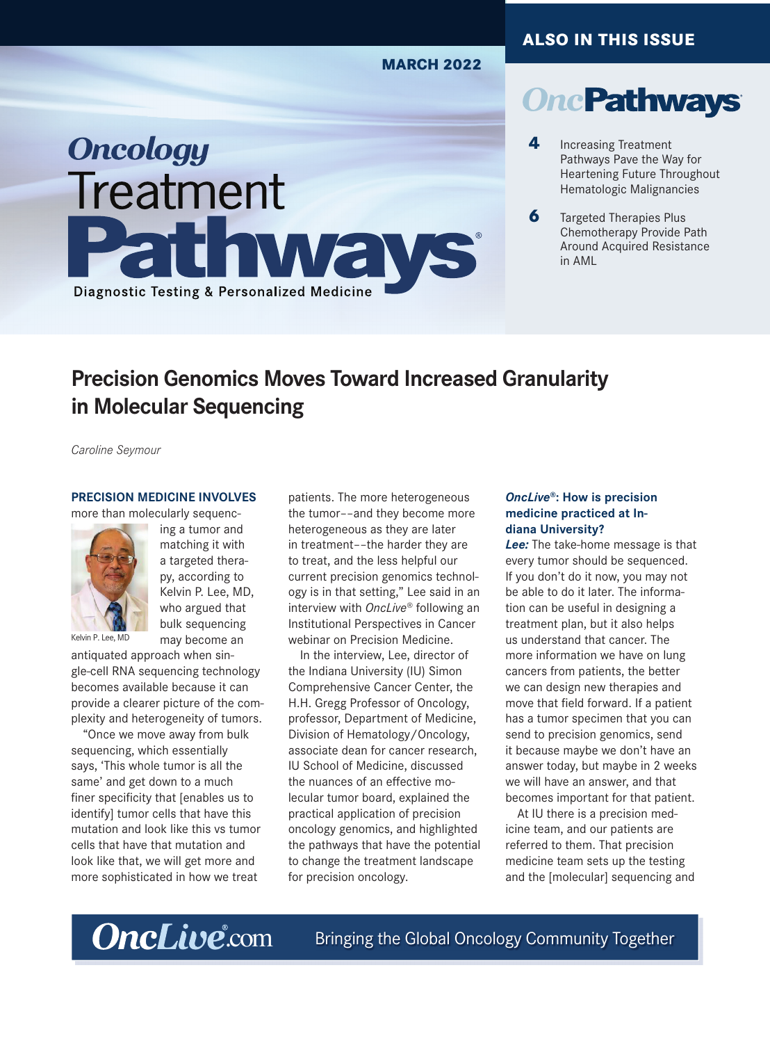#### **MARCH 2022**

### **ALSO IN THIS ISSUE**

# **OncPathways**

- **4** Increasing Treatment Pathways Pave the Way for Heartening Future Throughout Hematologic Malignancies
- **6** Targeted Therapies Plus Chemotherapy Provide Path Around Acquired Resistance in AML

### **Precision Genomics Moves Toward Increased Granularity in Molecular Sequencing**

WAVS

*Caroline Seymour*

**Oncology** 

**Treatment** 

Diagnostic Testing & Personalized Medicine

#### **PRECISION MEDICINE INVOLVES**

matching it with a targeted therapy, according to Kelvin P. Lee, MD, who argued that bulk sequencing may become an

more than molecularly sequencing a tumor and



Kelvin P. Lee, MD

antiquated approach when single-cell RNA sequencing technology becomes available because it can provide a clearer picture of the complexity and heterogeneity of tumors.

"Once we move away from bulk sequencing, which essentially says, 'This whole tumor is all the same' and get down to a much finer specificity that [enables us to identify] tumor cells that have this mutation and look like this vs tumor cells that have that mutation and look like that, we will get more and more sophisticated in how we treat

patients. The more heterogeneous the tumor––and they become more heterogeneous as they are later in treatment––the harder they are to treat, and the less helpful our current precision genomics technology is in that setting," Lee said in an interview with *OncLive®* following an Institutional Perspectives in Cancer webinar on Precision Medicine.

In the interview, Lee, director of the Indiana University (IU) Simon Comprehensive Cancer Center, the H.H. Gregg Professor of Oncology, professor, Department of Medicine, Division of Hematology/Oncology, associate dean for cancer research, IU School of Medicine, discussed the nuances of an effective molecular tumor board, explained the practical application of precision oncology genomics, and highlighted the pathways that have the potential to change the treatment landscape for precision oncology.

#### *OncLive***®: How is precision medicine practiced at Indiana University?**

*Lee:* The take-home message is that every tumor should be sequenced. If you don't do it now, you may not be able to do it later. The information can be useful in designing a treatment plan, but it also helps us understand that cancer. The more information we have on lung cancers from patients, the better we can design new therapies and move that field forward. If a patient has a tumor specimen that you can send to precision genomics, send it because maybe we don't have an answer today, but maybe in 2 weeks we will have an answer, and that becomes important for that patient.

At IU there is a precision medicine team, and our patients are referred to them. That precision medicine team sets up the testing and the [molecular] sequencing and

**OncLive** com Bringing the Global Oncology Community Together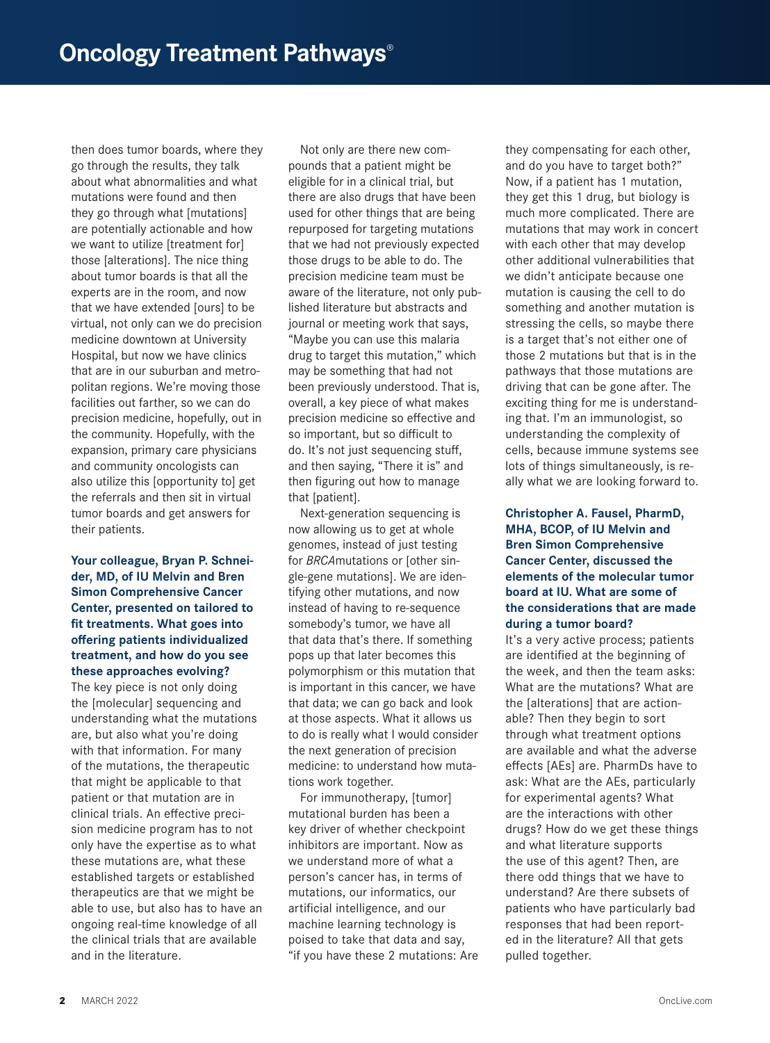then does tumor boards, where they go through the results, they talk about what abnormalities and what mutations were found and then they go through what [mutations] are potentially actionable and how we want to utilize [treatment for] those [alterations]. The nice thing about tumor boards is that all the experts are in the room, and now that we have extended [ours] to be virtual, not only can we do precision medicine downtown at University Hospital, but now we have clinics that are in our suburban and metropolitan regions. We're moving those facilities out farther, so we can do precision medicine, hopefully, out in the community. Hopefully, with the expansion, primary care physicians and community oncologists can also utilize this [opportunity to] get the referrals and then sit in virtual tumor boards and get answers for their patients.

#### **Your colleague, Bryan P. Schneider, MD, of IU Melvin and Bren Simon Comprehensive Cancer Center, presented on tailored to fit treatments. What goes into offering patients individualized treatment, and how do you see these approaches evolving?**

The key piece is not only doing the [molecular] sequencing and understanding what the mutations are, but also what you're doing with that information. For many of the mutations, the therapeutic that might be applicable to that patient or that mutation are in clinical trials. An effective precision medicine program has to not only have the expertise as to what these mutations are, what these established targets or established therapeutics are that we might be able to use, but also has to have an ongoing real-time knowledge of all the clinical trials that are available and in the literature.

Not only are there new compounds that a patient might be eligible for in a clinical trial, but there are also drugs that have been used for other things that are being repurposed for targeting mutations that we had not previously expected those drugs to be able to do. The precision medicine team must be aware of the literature, not only published literature but abstracts and journal or meeting work that says, "Maybe you can use this malaria drug to target this mutation," which may be something that had not been previously understood. That is, overall, a key piece of what makes precision medicine so effective and so important, but so difficult to do. It's not just sequencing stuff, and then saying, "There it is" and then figuring out how to manage that [patient].

Next-generation sequencing is now allowing us to get at whole genomes, instead of just testing for *BRCA*mutations or [other single-gene mutations]. We are identifying other mutations, and now instead of having to re-sequence somebody's tumor, we have all that data that's there. If something pops up that later becomes this polymorphism or this mutation that is important in this cancer, we have that data; we can go back and look at those aspects. What it allows us to do is really what I would consider the next generation of precision medicine: to understand how mutations work together.

For immunotherapy, [tumor] mutational burden has been a key driver of whether checkpoint inhibitors are important. Now as we understand more of what a person's cancer has, in terms of mutations, our informatics, our artificial intelligence, and our machine learning technology is poised to take that data and say, "if you have these 2 mutations: Are they compensating for each other, and do you have to target both?" Now, if a patient has 1 mutation, they get this 1 drug, but biology is much more complicated. There are mutations that may work in concert with each other that may develop other additional vulnerabilities that we didn't anticipate because one mutation is causing the cell to do something and another mutation is stressing the cells, so maybe there is a target that's not either one of those 2 mutations but that is in the pathways that those mutations are driving that can be gone after. The exciting thing for me is understanding that. I'm an immunologist, so understanding the complexity of cells, because immune systems see lots of things simultaneously, is really what we are looking forward to.

#### **Christopher A. Fausel, PharmD, MHA, BCOP, of IU Melvin and Bren Simon Comprehensive Cancer Center, discussed the elements of the molecular tumor board at IU. What are some of the considerations that are made during a tumor board?**

It's a very active process; patients are identified at the beginning of the week, and then the team asks: What are the mutations? What are the [alterations] that are actionable? Then they begin to sort through what treatment options are available and what the adverse effects [AEs] are. PharmDs have to ask: What are the AEs, particularly for experimental agents? What are the interactions with other drugs? How do we get these things and what literature supports the use of this agent? Then, are there odd things that we have to understand? Are there subsets of patients who have particularly bad responses that had been reported in the literature? All that gets pulled together.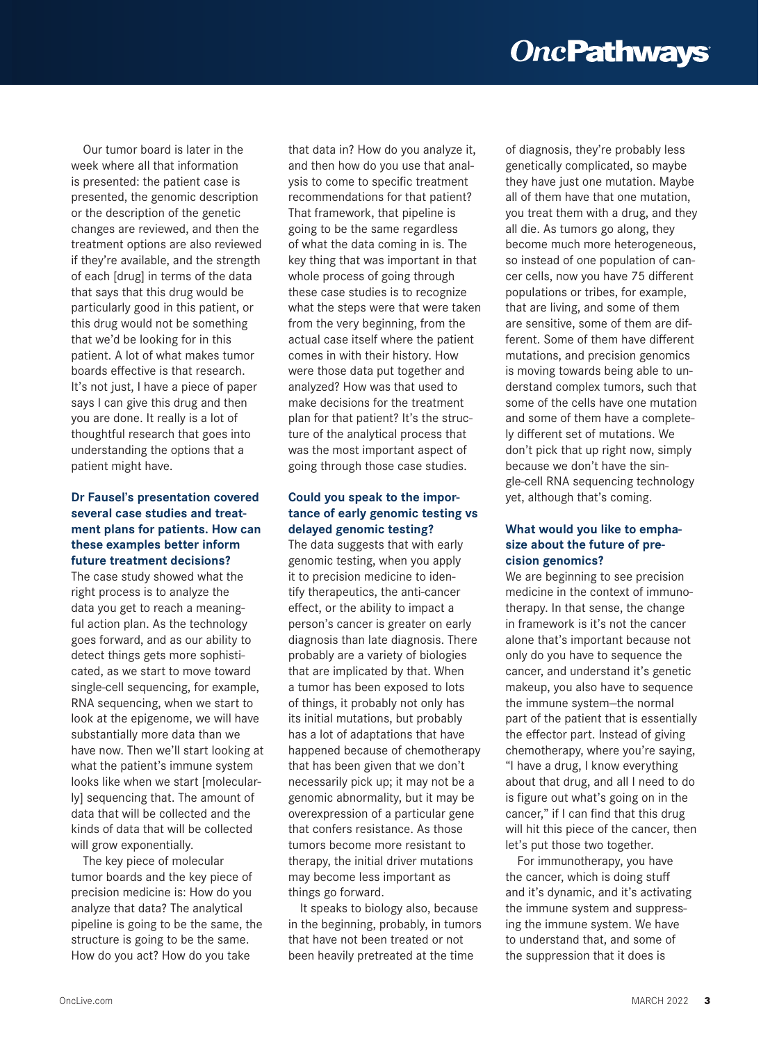# **OncPathways**

Our tumor board is later in the week where all that information is presented: the patient case is presented, the genomic description or the description of the genetic changes are reviewed, and then the treatment options are also reviewed if they're available, and the strength of each [drug] in terms of the data that says that this drug would be particularly good in this patient, or this drug would not be something that we'd be looking for in this patient. A lot of what makes tumor boards effective is that research. It's not just, I have a piece of paper says I can give this drug and then you are done. It really is a lot of thoughtful research that goes into understanding the options that a patient might have.

#### **Dr Fausel's presentation covered several case studies and treatment plans for patients. How can these examples better inform future treatment decisions?**

The case study showed what the right process is to analyze the data you get to reach a meaningful action plan. As the technology goes forward, and as our ability to detect things gets more sophisticated, as we start to move toward single-cell sequencing, for example, RNA sequencing, when we start to look at the epigenome, we will have substantially more data than we have now. Then we'll start looking at what the patient's immune system looks like when we start [molecularly] sequencing that. The amount of data that will be collected and the kinds of data that will be collected will grow exponentially.

The key piece of molecular tumor boards and the key piece of precision medicine is: How do you analyze that data? The analytical pipeline is going to be the same, the structure is going to be the same. How do you act? How do you take

that data in? How do you analyze it, and then how do you use that analysis to come to specific treatment recommendations for that patient? That framework, that pipeline is going to be the same regardless of what the data coming in is. The key thing that was important in that whole process of going through these case studies is to recognize what the steps were that were taken from the very beginning, from the actual case itself where the patient comes in with their history. How were those data put together and analyzed? How was that used to make decisions for the treatment plan for that patient? It's the structure of the analytical process that was the most important aspect of going through those case studies.

#### **Could you speak to the importance of early genomic testing vs delayed genomic testing?**

The data suggests that with early genomic testing, when you apply it to precision medicine to identify therapeutics, the anti-cancer effect, or the ability to impact a person's cancer is greater on early diagnosis than late diagnosis. There probably are a variety of biologies that are implicated by that. When a tumor has been exposed to lots of things, it probably not only has its initial mutations, but probably has a lot of adaptations that have happened because of chemotherapy that has been given that we don't necessarily pick up; it may not be a genomic abnormality, but it may be overexpression of a particular gene that confers resistance. As those tumors become more resistant to therapy, the initial driver mutations may become less important as things go forward.

It speaks to biology also, because in the beginning, probably, in tumors that have not been treated or not been heavily pretreated at the time

of diagnosis, they're probably less genetically complicated, so maybe they have just one mutation. Maybe all of them have that one mutation, you treat them with a drug, and they all die. As tumors go along, they become much more heterogeneous, so instead of one population of cancer cells, now you have 75 different populations or tribes, for example, that are living, and some of them are sensitive, some of them are different. Some of them have different mutations, and precision genomics is moving towards being able to understand complex tumors, such that some of the cells have one mutation and some of them have a completely different set of mutations. We don't pick that up right now, simply because we don't have the single-cell RNA sequencing technology yet, although that's coming.

#### **What would you like to emphasize about the future of precision genomics?**

We are beginning to see precision medicine in the context of immunotherapy. In that sense, the change in framework is it's not the cancer alone that's important because not only do you have to sequence the cancer, and understand it's genetic makeup, you also have to sequence the immune system—the normal part of the patient that is essentially the effector part. Instead of giving chemotherapy, where you're saying, "I have a drug, I know everything about that drug, and all I need to do is figure out what's going on in the cancer," if I can find that this drug will hit this piece of the cancer, then let's put those two together.

For immunotherapy, you have the cancer, which is doing stuff and it's dynamic, and it's activating the immune system and suppressing the immune system. We have to understand that, and some of the suppression that it does is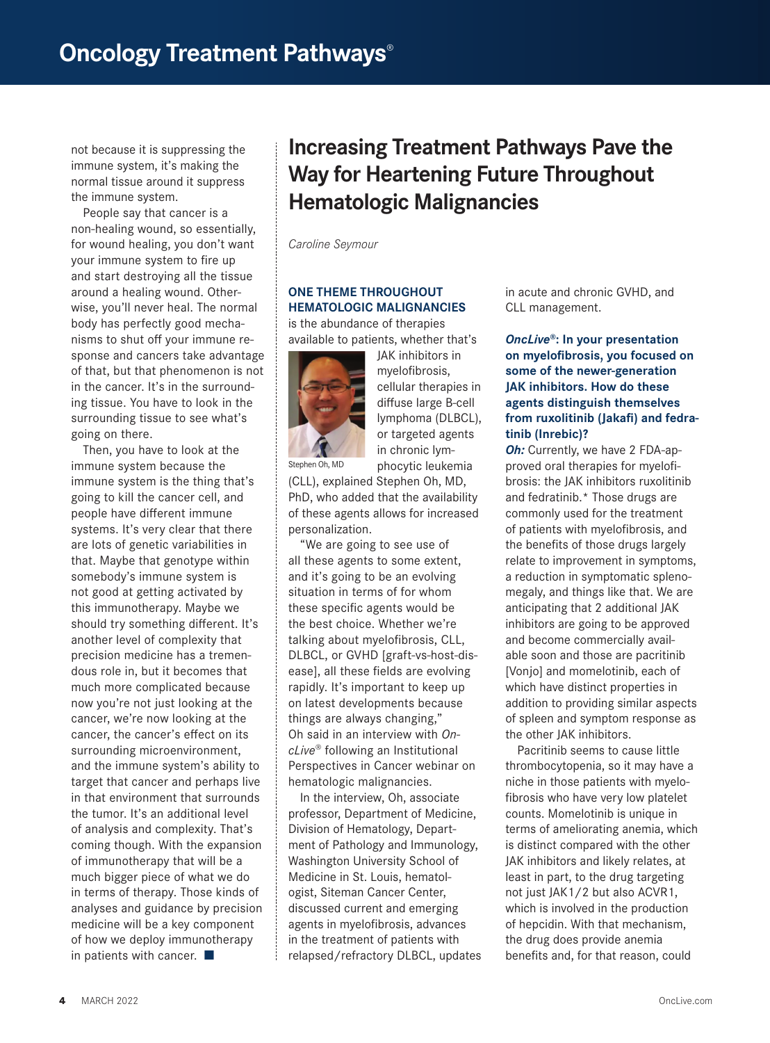not because it is suppressing the immune system, it's making the normal tissue around it suppress the immune system.

People say that cancer is a non-healing wound, so essentially, for wound healing, you don't want your immune system to fire up and start destroying all the tissue around a healing wound. Otherwise, you'll never heal. The normal body has perfectly good mechanisms to shut off your immune response and cancers take advantage of that, but that phenomenon is not in the cancer. It's in the surrounding tissue. You have to look in the surrounding tissue to see what's going on there.

Then, you have to look at the immune system because the immune system is the thing that's going to kill the cancer cell, and people have different immune systems. It's very clear that there are lots of genetic variabilities in that. Maybe that genotype within somebody's immune system is not good at getting activated by this immunotherapy. Maybe we should try something different. It's another level of complexity that precision medicine has a tremendous role in, but it becomes that much more complicated because now you're not just looking at the cancer, we're now looking at the cancer, the cancer's effect on its surrounding microenvironment, and the immune system's ability to target that cancer and perhaps live in that environment that surrounds the tumor. It's an additional level of analysis and complexity. That's coming though. With the expansion of immunotherapy that will be a much bigger piece of what we do in terms of therapy. Those kinds of analyses and guidance by precision medicine will be a key component of how we deploy immunotherapy in patients with cancer.  $\blacksquare$ 

## **Increasing Treatment Pathways Pave the Way for Heartening Future Throughout Hematologic Malignancies**

*Caroline Seymour*

#### **ONE THEME THROUGHOUT HEMATOLOGIC MALIGNANCIES**

is the abundance of therapies available to patients, whether that's



JAK inhibitors in myelofibrosis, cellular therapies in diffuse large B-cell lymphoma (DLBCL), or targeted agents in chronic lymphocytic leukemia

Stephen Oh, MD

(CLL), explained Stephen Oh, MD, PhD, who added that the availability of these agents allows for increased personalization.

"We are going to see use of all these agents to some extent, and it's going to be an evolving situation in terms of for whom these specific agents would be the best choice. Whether we're talking about myelofibrosis, CLL, DLBCL, or GVHD [graft-vs-host-disease], all these fields are evolving rapidly. It's important to keep up on latest developments because things are always changing," Oh said in an interview with *OncLive*® following an Institutional Perspectives in Cancer webinar on hematologic malignancies.

In the interview, Oh, associate professor, Department of Medicine, Division of Hematology, Department of Pathology and Immunology, Washington University School of Medicine in St. Louis, hematologist, Siteman Cancer Center, discussed current and emerging agents in myelofibrosis, advances in the treatment of patients with relapsed/refractory DLBCL, updates in acute and chronic GVHD, and CLL management.

#### *OncLive***®: In your presentation on myelofibrosis, you focused on some of the newer-generation JAK inhibitors. How do these agents distinguish themselves**  from ruxolitinib (Jakafi) and fedra**tinib (Inrebic)?**

**Oh:** Currently, we have 2 FDA-approved oral therapies for myelofibrosis: the JAK inhibitors ruxolitinib and fedratinib.\* Those drugs are commonly used for the treatment of patients with myelofibrosis, and the benefits of those drugs largely relate to improvement in symptoms, a reduction in symptomatic splenomegaly, and things like that. We are anticipating that 2 additional JAK inhibitors are going to be approved and become commercially available soon and those are pacritinib [Vonjo] and momelotinib, each of which have distinct properties in addition to providing similar aspects of spleen and symptom response as the other JAK inhibitors.

Pacritinib seems to cause little thrombocytopenia, so it may have a niche in those patients with myelofibrosis who have very low platelet counts. Momelotinib is unique in terms of ameliorating anemia, which is distinct compared with the other JAK inhibitors and likely relates, at least in part, to the drug targeting not just JAK1/2 but also ACVR1, which is involved in the production of hepcidin. With that mechanism, the drug does provide anemia benefits and, for that reason, could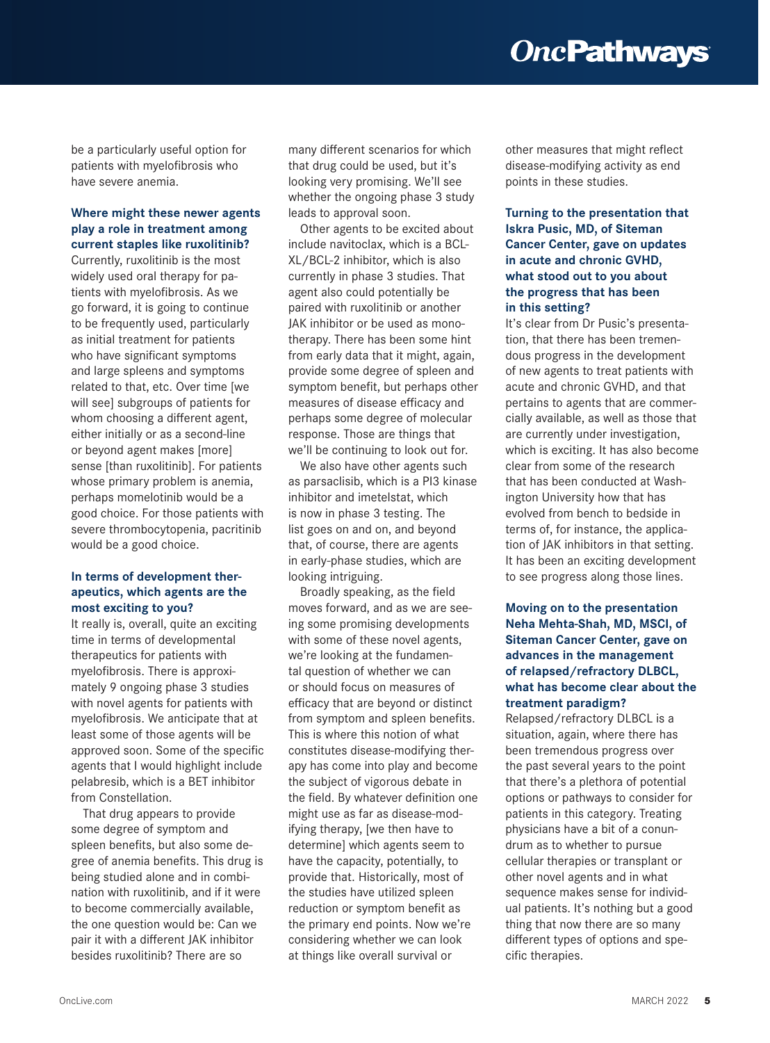# **OncPathways**

be a particularly useful option for patients with myelofibrosis who have severe anemia.

#### **Where might these newer agents play a role in treatment among current staples like ruxolitinib?**

Currently, ruxolitinib is the most widely used oral therapy for patients with myelofibrosis. As we go forward, it is going to continue to be frequently used, particularly as initial treatment for patients who have significant symptoms and large spleens and symptoms related to that, etc. Over time [we will see] subgroups of patients for whom choosing a different agent, either initially or as a second-line or beyond agent makes [more] sense [than ruxolitinib]. For patients whose primary problem is anemia, perhaps momelotinib would be a good choice. For those patients with severe thrombocytopenia, pacritinib would be a good choice.

#### **In terms of development therapeutics, which agents are the most exciting to you?**

It really is, overall, quite an exciting time in terms of developmental therapeutics for patients with myelofibrosis. There is approximately 9 ongoing phase 3 studies with novel agents for patients with myelofibrosis. We anticipate that at least some of those agents will be approved soon. Some of the specific agents that I would highlight include pelabresib, which is a BET inhibitor from Constellation.

That drug appears to provide some degree of symptom and spleen benefits, but also some degree of anemia benefits. This drug is being studied alone and in combination with ruxolitinib, and if it were to become commercially available, the one question would be: Can we pair it with a different JAK inhibitor besides ruxolitinib? There are so

many different scenarios for which that drug could be used, but it's looking very promising. We'll see whether the ongoing phase 3 study leads to approval soon.

Other agents to be excited about include navitoclax, which is a BCL-XL/BCL-2 inhibitor, which is also currently in phase 3 studies. That agent also could potentially be paired with ruxolitinib or another JAK inhibitor or be used as monotherapy. There has been some hint from early data that it might, again, provide some degree of spleen and symptom benefit, but perhaps other measures of disease efficacy and perhaps some degree of molecular response. Those are things that we'll be continuing to look out for.

We also have other agents such as parsaclisib, which is a PI3 kinase inhibitor and imetelstat, which is now in phase 3 testing. The list goes on and on, and beyond that, of course, there are agents in early-phase studies, which are looking intriguing.

Broadly speaking, as the field moves forward, and as we are seeing some promising developments with some of these novel agents, we're looking at the fundamental question of whether we can or should focus on measures of efficacy that are beyond or distinct from symptom and spleen benefits. This is where this notion of what constitutes disease-modifying therapy has come into play and become the subject of vigorous debate in the field. By whatever definition one might use as far as disease-modifying therapy, [we then have to determine] which agents seem to have the capacity, potentially, to provide that. Historically, most of the studies have utilized spleen reduction or symptom benefit as the primary end points. Now we're considering whether we can look at things like overall survival or

other measures that might reflect disease-modifying activity as end points in these studies.

#### **Turning to the presentation that Iskra Pusic, MD, of Siteman Cancer Center, gave on updates in acute and chronic GVHD, what stood out to you about the progress that has been in this setting?**

It's clear from Dr Pusic's presentation, that there has been tremendous progress in the development of new agents to treat patients with acute and chronic GVHD, and that pertains to agents that are commercially available, as well as those that are currently under investigation, which is exciting. It has also become clear from some of the research that has been conducted at Washington University how that has evolved from bench to bedside in terms of, for instance, the application of JAK inhibitors in that setting. It has been an exciting development to see progress along those lines.

#### **Moving on to the presentation Neha Mehta-Shah, MD, MSCI, of Siteman Cancer Center, gave on advances in the management of relapsed/refractory DLBCL, what has become clear about the treatment paradigm?**

Relapsed/refractory DLBCL is a situation, again, where there has been tremendous progress over the past several years to the point that there's a plethora of potential options or pathways to consider for patients in this category. Treating physicians have a bit of a conundrum as to whether to pursue cellular therapies or transplant or other novel agents and in what sequence makes sense for individual patients. It's nothing but a good thing that now there are so many different types of options and specific therapies.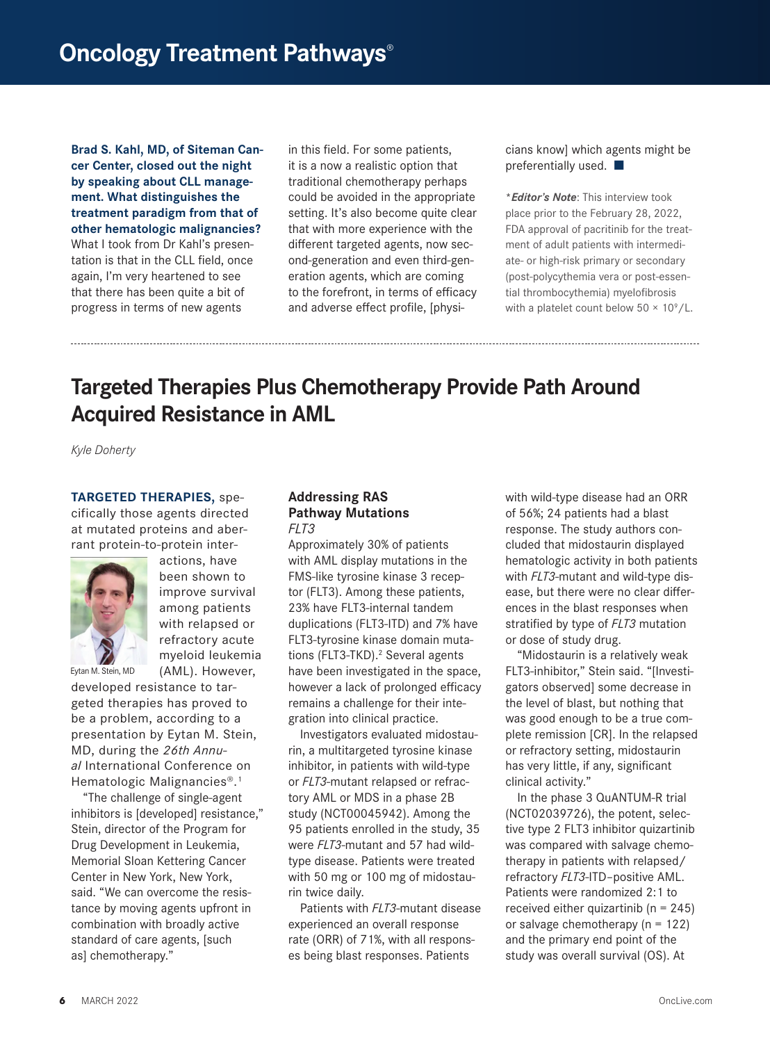**Brad S. Kahl, MD, of Siteman Cancer Center, closed out the night by speaking about CLL management. What distinguishes the treatment paradigm from that of other hematologic malignancies?** What I took from Dr Kahl's presentation is that in the CLL field, once again, I'm very heartened to see that there has been quite a bit of progress in terms of new agents

in this field. For some patients, it is a now a realistic option that traditional chemotherapy perhaps could be avoided in the appropriate setting. It's also become quite clear that with more experience with the different targeted agents, now second-generation and even third-generation agents, which are coming to the forefront, in terms of efficacy and adverse effect profile, [physicians know] which agents might be preferentially used.  $\blacksquare$ 

**\****Editor's Note*: This interview took place prior to the February 28, 2022, FDA approval of pacritinib for the treatment of adult patients with intermediate- or high-risk primary or secondary (post-polycythemia vera or post-essential thrombocythemia) myelofibrosis with a platelet count below  $50 \times 10^9$ /L.

## **Targeted Therapies Plus Chemotherapy Provide Path Around Acquired Resistance in AML**

*Kyle Doherty*

#### **TARGETED THERAPIES,** spe-

cifically those agents directed at mutated proteins and aberrant protein-to-protein inter-



actions, have been shown to improve survival among patients with relapsed or refractory acute myeloid leukemia (AML). However,

developed resistance to targeted therapies has proved to be a problem, according to a presentation by Eytan M. Stein, MD, during the *26th Annual* International Conference on Hematologic Malignancies®. 1

"The challenge of single-agent inhibitors is [developed] resistance," Stein, director of the Program for Drug Development in Leukemia, Memorial Sloan Kettering Cancer Center in New York, New York, said. "We can overcome the resistance by moving agents upfront in combination with broadly active standard of care agents, [such as] chemotherapy."

#### **Addressing RAS Pathway Mutations** *FLT3*

Approximately 30% of patients with AML display mutations in the FMS-like tyrosine kinase 3 receptor (FLT3). Among these patients, 23% have FLT3-internal tandem duplications (FLT3-ITD) and 7% have FLT3-tyrosine kinase domain mutations (FLT3-TKD).<sup>2</sup> Several agents have been investigated in the space, however a lack of prolonged efficacy remains a challenge for their integration into clinical practice.

Investigators evaluated midostaurin, a multitargeted tyrosine kinase inhibitor, in patients with wild-type or *FLT3*-mutant relapsed or refractory AML or MDS in a phase 2B study (NCT00045942). Among the 95 patients enrolled in the study, 35 were *FLT3*-mutant and 57 had wildtype disease. Patients were treated with 50 mg or 100 mg of midostaurin twice daily.

Patients with *FLT3*-mutant disease experienced an overall response rate (ORR) of 71%, with all responses being blast responses. Patients

with wild-type disease had an ORR of 56%; 24 patients had a blast response. The study authors concluded that midostaurin displayed hematologic activity in both patients with *FLT3*-mutant and wild-type disease, but there were no clear differences in the blast responses when stratified by type of *FLT3* mutation or dose of study drug.

"Midostaurin is a relatively weak FLT3-inhibitor," Stein said. "[Investigators observed] some decrease in the level of blast, but nothing that was good enough to be a true complete remission [CR]. In the relapsed or refractory setting, midostaurin has very little, if any, significant clinical activity."

In the phase 3 QuANTUM-R trial (NCT02039726), the potent, selective type 2 FLT3 inhibitor quizartinib was compared with salvage chemotherapy in patients with relapsed/ refractory *FLT3*-ITD–positive AML. Patients were randomized 2:1 to received either quizartinib ( $n = 245$ ) or salvage chemotherapy  $(n = 122)$ and the primary end point of the study was overall survival (OS). At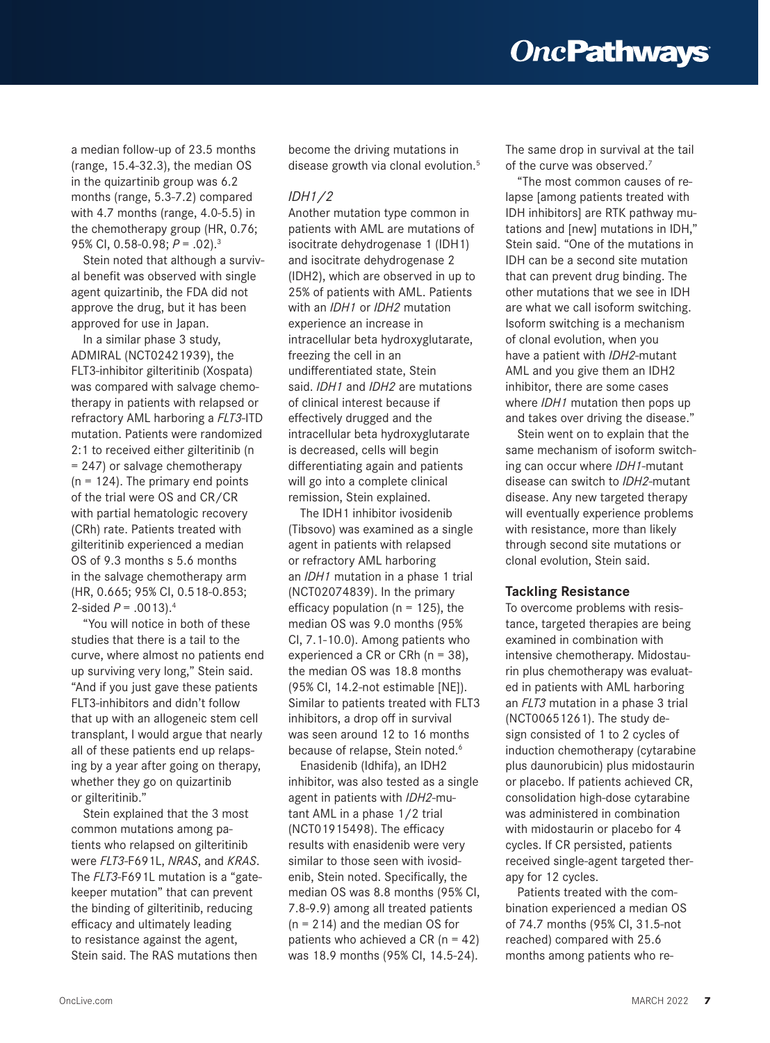a median follow-up of 23.5 months (range, 15.4-32.3), the median OS in the quizartinib group was 6.2 months (range, 5.3-7.2) compared with 4.7 months (range, 4.0-5.5) in the chemotherapy group (HR, 0.76; 95% CI, 0.58-0.98; *P* = .02).3

Stein noted that although a survival benefit was observed with single agent quizartinib, the FDA did not approve the drug, but it has been approved for use in Japan.

In a similar phase 3 study, ADMIRAL (NCT02421939), the FLT3-inhibitor gilteritinib (Xospata) was compared with salvage chemotherapy in patients with relapsed or refractory AML harboring a *FLT3*-ITD mutation. Patients were randomized 2:1 to received either gilteritinib (n = 247) or salvage chemotherapy  $(n = 124)$ . The primary end points of the trial were OS and CR/CR with partial hematologic recovery (CRh) rate. Patients treated with gilteritinib experienced a median OS of 9.3 months s 5.6 months in the salvage chemotherapy arm (HR, 0.665; 95% CI, 0.518-0.853; 2-sided  $P = .0013$ ).<sup>4</sup>

"You will notice in both of these studies that there is a tail to the curve, where almost no patients end up surviving very long," Stein said. "And if you just gave these patients FLT3-inhibitors and didn't follow that up with an allogeneic stem cell transplant, I would argue that nearly all of these patients end up relapsing by a year after going on therapy, whether they go on quizartinib or gilteritinib."

Stein explained that the 3 most common mutations among patients who relapsed on gilteritinib were *FLT3*-F691L, *NRAS*, and *KRAS*. The *FLT3*-F691L mutation is a "gatekeeper mutation" that can prevent the binding of gilteritinib, reducing efficacy and ultimately leading to resistance against the agent, Stein said. The RAS mutations then

become the driving mutations in disease growth via clonal evolution.<sup>5</sup>

#### *IDH1/2*

Another mutation type common in patients with AML are mutations of isocitrate dehydrogenase 1 (IDH1) and isocitrate dehydrogenase 2 (IDH2), which are observed in up to 25% of patients with AML. Patients with an *IDH1* or *IDH2* mutation experience an increase in intracellular beta hydroxyglutarate, freezing the cell in an undifferentiated state, Stein said. *IDH1* and *IDH2* are mutations of clinical interest because if effectively drugged and the intracellular beta hydroxyglutarate is decreased, cells will begin differentiating again and patients will go into a complete clinical remission, Stein explained.

The IDH1 inhibitor ivosidenib (Tibsovo) was examined as a single agent in patients with relapsed or refractory AML harboring an *IDH1* mutation in a phase 1 trial (NCT02074839). In the primary efficacy population ( $n = 125$ ), the median OS was 9.0 months (95% CI, 7.1-10.0). Among patients who experienced a CR or CRh (n = 38), the median OS was 18.8 months (95% CI, 14.2-not estimable [NE]). Similar to patients treated with FLT3 inhibitors, a drop off in survival was seen around 12 to 16 months because of relapse, Stein noted.<sup>6</sup>

Enasidenib (Idhifa), an IDH2 inhibitor, was also tested as a single agent in patients with *IDH2*-mutant AML in a phase 1/2 trial (NCT01915498). The efficacy results with enasidenib were very similar to those seen with ivosidenib, Stein noted. Specifically, the median OS was 8.8 months (95% CI, 7.8-9.9) among all treated patients (n = 214) and the median OS for patients who achieved a CR  $(n = 42)$ was 18.9 months (95% CI, 14.5-24).

The same drop in survival at the tail of the curve was observed.<sup>7</sup>

"The most common causes of relapse [among patients treated with IDH inhibitors] are RTK pathway mutations and [new] mutations in IDH," Stein said. "One of the mutations in IDH can be a second site mutation that can prevent drug binding. The other mutations that we see in IDH are what we call isoform switching. Isoform switching is a mechanism of clonal evolution, when you have a patient with *IDH2*-mutant AML and you give them an IDH2 inhibitor, there are some cases where *IDH1* mutation then pops up and takes over driving the disease."

Stein went on to explain that the same mechanism of isoform switching can occur where *IDH1*-mutant disease can switch to *IDH2*-mutant disease. Any new targeted therapy will eventually experience problems with resistance, more than likely through second site mutations or clonal evolution, Stein said.

#### **Tackling Resistance**

To overcome problems with resistance, targeted therapies are being examined in combination with intensive chemotherapy. Midostaurin plus chemotherapy was evaluated in patients with AML harboring an *FLT3* mutation in a phase 3 trial (NCT00651261). The study design consisted of 1 to 2 cycles of induction chemotherapy (cytarabine plus daunorubicin) plus midostaurin or placebo. If patients achieved CR, consolidation high-dose cytarabine was administered in combination with midostaurin or placebo for 4 cycles. If CR persisted, patients received single-agent targeted therapy for 12 cycles.

Patients treated with the combination experienced a median OS of 74.7 months (95% CI, 31.5-not reached) compared with 25.6 months among patients who re-

# **OncPathways**